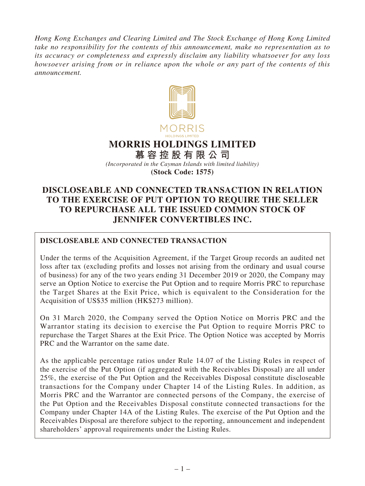*Hong Kong Exchanges and Clearing Limited and The Stock Exchange of Hong Kong Limited take no responsibility for the contents of this announcement, make no representation as to its accuracy or completeness and expressly disclaim any liability whatsoever for any loss howsoever arising from or in reliance upon the whole or any part of the contents of this announcement.*



# **MORRIS HOLDINGS LIMITED**

**慕容控股有限公司** *(Incorporated in the Cayman Islands with limited liability)* **(Stock Code: 1575)**

# **DISCLOSEABLE AND CONNECTED TRANSACTION IN RELATION TO THE EXERCISE OF PUT OPTION TO REQUIRE THE SELLER TO REPURCHASE ALL THE ISSUED COMMON STOCK OF JENNIFER CONVERTIBLES INC.**

# **DISCLOSEABLE AND CONNECTED TRANSACTION**

Under the terms of the Acquisition Agreement, if the Target Group records an audited net loss after tax (excluding profits and losses not arising from the ordinary and usual course of business) for any of the two years ending 31 December 2019 or 2020, the Company may serve an Option Notice to exercise the Put Option and to require Morris PRC to repurchase the Target Shares at the Exit Price, which is equivalent to the Consideration for the Acquisition of US\$35 million (HK\$273 million).

On 31 March 2020, the Company served the Option Notice on Morris PRC and the Warrantor stating its decision to exercise the Put Option to require Morris PRC to repurchase the Target Shares at the Exit Price. The Option Notice was accepted by Morris PRC and the Warrantor on the same date.

As the applicable percentage ratios under Rule 14.07 of the Listing Rules in respect of the exercise of the Put Option (if aggregated with the Receivables Disposal) are all under 25%, the exercise of the Put Option and the Receivables Disposal constitute discloseable transactions for the Company under Chapter 14 of the Listing Rules. In addition, as Morris PRC and the Warrantor are connected persons of the Company, the exercise of the Put Option and the Receivables Disposal constitute connected transactions for the Company under Chapter 14A of the Listing Rules. The exercise of the Put Option and the Receivables Disposal are therefore subject to the reporting, announcement and independent shareholders' approval requirements under the Listing Rules.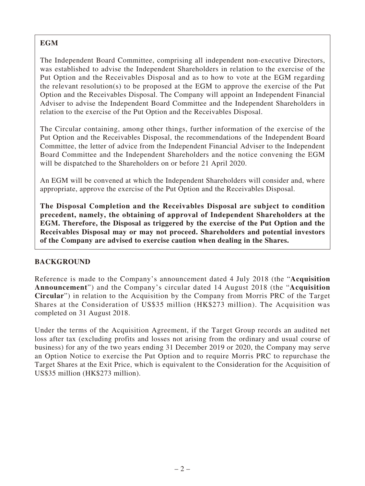# **EGM**

The Independent Board Committee, comprising all independent non-executive Directors, was established to advise the Independent Shareholders in relation to the exercise of the Put Option and the Receivables Disposal and as to how to vote at the EGM regarding the relevant resolution(s) to be proposed at the EGM to approve the exercise of the Put Option and the Receivables Disposal. The Company will appoint an Independent Financial Adviser to advise the Independent Board Committee and the Independent Shareholders in relation to the exercise of the Put Option and the Receivables Disposal.

The Circular containing, among other things, further information of the exercise of the Put Option and the Receivables Disposal, the recommendations of the Independent Board Committee, the letter of advice from the Independent Financial Adviser to the Independent Board Committee and the Independent Shareholders and the notice convening the EGM will be dispatched to the Shareholders on or before 21 April 2020.

An EGM will be convened at which the Independent Shareholders will consider and, where appropriate, approve the exercise of the Put Option and the Receivables Disposal.

**The Disposal Completion and the Receivables Disposal are subject to condition precedent, namely, the obtaining of approval of Independent Shareholders at the EGM. Therefore, the Disposal as triggered by the exercise of the Put Option and the Receivables Disposal may or may not proceed. Shareholders and potential investors of the Company are advised to exercise caution when dealing in the Shares.**

# **BACKGROUND**

Reference is made to the Company's announcement dated 4 July 2018 (the "**Acquisition Announcement**") and the Company's circular dated 14 August 2018 (the "**Acquisition Circular**") in relation to the Acquisition by the Company from Morris PRC of the Target Shares at the Consideration of US\$35 million (HK\$273 million). The Acquisition was completed on 31 August 2018.

Under the terms of the Acquisition Agreement, if the Target Group records an audited net loss after tax (excluding profits and losses not arising from the ordinary and usual course of business) for any of the two years ending 31 December 2019 or 2020, the Company may serve an Option Notice to exercise the Put Option and to require Morris PRC to repurchase the Target Shares at the Exit Price, which is equivalent to the Consideration for the Acquisition of US\$35 million (HK\$273 million).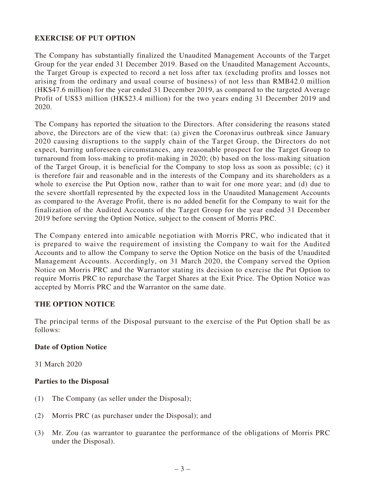## **EXERCISE OF PUT OPTION**

The Company has substantially finalized the Unaudited Management Accounts of the Target Group for the year ended 31 December 2019. Based on the Unaudited Management Accounts, the Target Group is expected to record a net loss after tax (excluding profits and losses not arising from the ordinary and usual course of business) of not less than RMB42.0 million (HK\$47.6 million) for the year ended 31 December 2019, as compared to the targeted Average Profit of US\$3 million (HK\$23.4 million) for the two years ending 31 December 2019 and 2020.

The Company has reported the situation to the Directors. After considering the reasons stated above, the Directors are of the view that: (a) given the Coronavirus outbreak since January 2020 causing disruptions to the supply chain of the Target Group, the Directors do not expect, barring unforeseen circumstances, any reasonable prospect for the Target Group to turnaround from loss-making to profit-making in 2020; (b) based on the loss-making situation of the Target Group, it is beneficial for the Company to stop loss as soon as possible; (c) it is therefore fair and reasonable and in the interests of the Company and its shareholders as a whole to exercise the Put Option now, rather than to wait for one more year; and (d) due to the severe shortfall represented by the expected loss in the Unaudited Management Accounts as compared to the Average Profit, there is no added benefit for the Company to wait for the finalization of the Audited Accounts of the Target Group for the year ended 31 December 2019 before serving the Option Notice, subject to the consent of Morris PRC.

The Company entered into amicable negotiation with Morris PRC, who indicated that it is prepared to waive the requirement of insisting the Company to wait for the Audited Accounts and to allow the Company to serve the Option Notice on the basis of the Unaudited Management Accounts. Accordingly, on 31 March 2020, the Company served the Option Notice on Morris PRC and the Warrantor stating its decision to exercise the Put Option to require Morris PRC to repurchase the Target Shares at the Exit Price. The Option Notice was accepted by Morris PRC and the Warrantor on the same date.

#### **THE OPTION NOTICE**

The principal terms of the Disposal pursuant to the exercise of the Put Option shall be as follows:

#### **Date of Option Notice**

31 March 2020

#### **Parties to the Disposal**

- (1) The Company (as seller under the Disposal);
- (2) Morris PRC (as purchaser under the Disposal); and
- (3) Mr. Zou (as warrantor to guarantee the performance of the obligations of Morris PRC under the Disposal).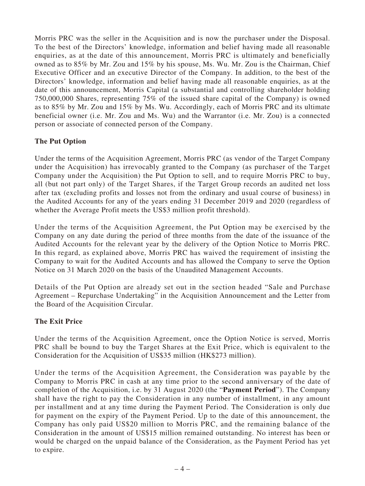Morris PRC was the seller in the Acquisition and is now the purchaser under the Disposal. To the best of the Directors' knowledge, information and belief having made all reasonable enquiries, as at the date of this announcement, Morris PRC is ultimately and beneficially owned as to 85% by Mr. Zou and 15% by his spouse, Ms. Wu. Mr. Zou is the Chairman, Chief Executive Officer and an executive Director of the Company. In addition, to the best of the Directors' knowledge, information and belief having made all reasonable enquiries, as at the date of this announcement, Morris Capital (a substantial and controlling shareholder holding 750,000,000 Shares, representing 75% of the issued share capital of the Company) is owned as to 85% by Mr. Zou and 15% by Ms. Wu. Accordingly, each of Morris PRC and its ultimate beneficial owner (i.e. Mr. Zou and Ms. Wu) and the Warrantor (i.e. Mr. Zou) is a connected person or associate of connected person of the Company.

# **The Put Option**

Under the terms of the Acquisition Agreement, Morris PRC (as vendor of the Target Company under the Acquisition) has irrevocably granted to the Company (as purchaser of the Target Company under the Acquisition) the Put Option to sell, and to require Morris PRC to buy, all (but not part only) of the Target Shares, if the Target Group records an audited net loss after tax (excluding profits and losses not from the ordinary and usual course of business) in the Audited Accounts for any of the years ending 31 December 2019 and 2020 (regardless of whether the Average Profit meets the US\$3 million profit threshold).

Under the terms of the Acquisition Agreement, the Put Option may be exercised by the Company on any date during the period of three months from the date of the issuance of the Audited Accounts for the relevant year by the delivery of the Option Notice to Morris PRC. In this regard, as explained above, Morris PRC has waived the requirement of insisting the Company to wait for the Audited Accounts and has allowed the Company to serve the Option Notice on 31 March 2020 on the basis of the Unaudited Management Accounts.

Details of the Put Option are already set out in the section headed "Sale and Purchase Agreement – Repurchase Undertaking" in the Acquisition Announcement and the Letter from the Board of the Acquisition Circular.

## **The Exit Price**

Under the terms of the Acquisition Agreement, once the Option Notice is served, Morris PRC shall be bound to buy the Target Shares at the Exit Price, which is equivalent to the Consideration for the Acquisition of US\$35 million (HK\$273 million).

Under the terms of the Acquisition Agreement, the Consideration was payable by the Company to Morris PRC in cash at any time prior to the second anniversary of the date of completion of the Acquisition, i.e. by 31 August 2020 (the "**Payment Period**"). The Company shall have the right to pay the Consideration in any number of installment, in any amount per installment and at any time during the Payment Period. The Consideration is only due for payment on the expiry of the Payment Period. Up to the date of this announcement, the Company has only paid US\$20 million to Morris PRC, and the remaining balance of the Consideration in the amount of US\$15 million remained outstanding. No interest has been or would be charged on the unpaid balance of the Consideration, as the Payment Period has yet to expire.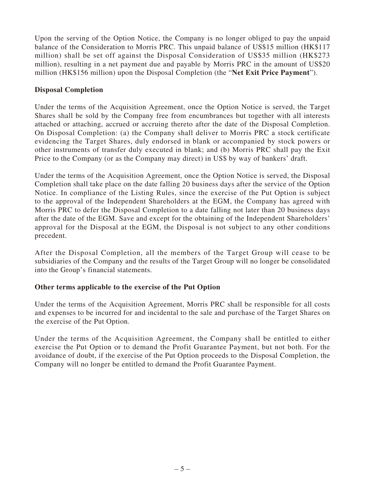Upon the serving of the Option Notice, the Company is no longer obliged to pay the unpaid balance of the Consideration to Morris PRC. This unpaid balance of US\$15 million (HK\$117 million) shall be set off against the Disposal Consideration of US\$35 million (HK\$273 million), resulting in a net payment due and payable by Morris PRC in the amount of US\$20 million (HK\$156 million) upon the Disposal Completion (the "**Net Exit Price Payment**").

## **Disposal Completion**

Under the terms of the Acquisition Agreement, once the Option Notice is served, the Target Shares shall be sold by the Company free from encumbrances but together with all interests attached or attaching, accrued or accruing thereto after the date of the Disposal Completion. On Disposal Completion: (a) the Company shall deliver to Morris PRC a stock certificate evidencing the Target Shares, duly endorsed in blank or accompanied by stock powers or other instruments of transfer duly executed in blank; and (b) Morris PRC shall pay the Exit Price to the Company (or as the Company may direct) in US\$ by way of bankers' draft.

Under the terms of the Acquisition Agreement, once the Option Notice is served, the Disposal Completion shall take place on the date falling 20 business days after the service of the Option Notice. In compliance of the Listing Rules, since the exercise of the Put Option is subject to the approval of the Independent Shareholders at the EGM, the Company has agreed with Morris PRC to defer the Disposal Completion to a date falling not later than 20 business days after the date of the EGM. Save and except for the obtaining of the Independent Shareholders' approval for the Disposal at the EGM, the Disposal is not subject to any other conditions precedent.

After the Disposal Completion, all the members of the Target Group will cease to be subsidiaries of the Company and the results of the Target Group will no longer be consolidated into the Group's financial statements.

## **Other terms applicable to the exercise of the Put Option**

Under the terms of the Acquisition Agreement, Morris PRC shall be responsible for all costs and expenses to be incurred for and incidental to the sale and purchase of the Target Shares on the exercise of the Put Option.

Under the terms of the Acquisition Agreement, the Company shall be entitled to either exercise the Put Option or to demand the Profit Guarantee Payment, but not both. For the avoidance of doubt, if the exercise of the Put Option proceeds to the Disposal Completion, the Company will no longer be entitled to demand the Profit Guarantee Payment.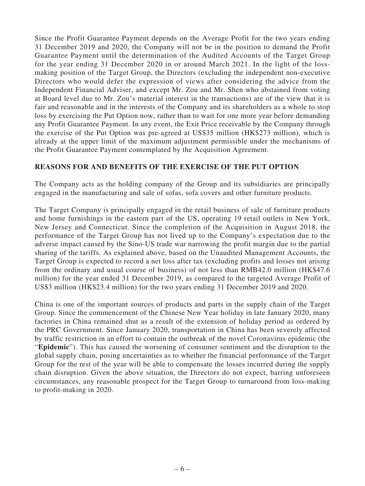Since the Profit Guarantee Payment depends on the Average Profit for the two years ending 31 December 2019 and 2020, the Company will not be in the position to demand the Profit Guarantee Payment until the determination of the Audited Accounts of the Target Group for the year ending 31 December 2020 in or around March 2021. In the light of the lossmaking position of the Target Group, the Directors (excluding the independent non-executive Directors who would defer the expression of views after considering the advice from the Independent Financial Adviser, and except Mr. Zou and Mr. Shen who abstained from voting at Board level due to Mr. Zou's material interest in the transactions) are of the view that it is fair and reasonable and in the interests of the Company and its shareholders as a whole to stop loss by exercising the Put Option now, rather than to wait for one more year before demanding any Profit Guarantee Payment. In any event, the Exit Price receivable by the Company through the exercise of the Put Option was pre-agreed at US\$35 million (HK\$273 million), which is already at the upper limit of the maximum adjustment permissible under the mechanisms of the Profit Guarantee Payment contemplated by the Acquisition Agreement.

#### **REASONS FOR AND BENEFITS OF THE EXERCISE OF THE PUT OPTION**

The Company acts as the holding company of the Group and its subsidiaries are principally engaged in the manufacturing and sale of sofas, sofa covers and other furniture products.

The Target Company is principally engaged in the retail business of sale of furniture products and home furnishings in the eastern part of the US, operating 19 retail outlets in New York, New Jersey and Connecticut. Since the completion of the Acquisition in August 2018, the performance of the Target Group has not lived up to the Company's expectation due to the adverse impact caused by the Sino-US trade war narrowing the profit margin due to the partial sharing of the tariffs. As explained above, based on the Unaudited Management Accounts, the Target Group is expected to record a net loss after tax (excluding profits and losses not arising from the ordinary and usual course of business) of not less than RMB42.0 million (HK\$47.6 million) for the year ended 31 December 2019, as compared to the targeted Average Profit of US\$3 million (HK\$23.4 million) for the two years ending 31 December 2019 and 2020.

China is one of the important sources of products and parts in the supply chain of the Target Group. Since the commencement of the Chinese New Year holiday in late January 2020, many factories in China remained shut as a result of the extension of holiday period as ordered by the PRC Government. Since January 2020, transportation in China has been severely affected by traffic restriction in an effort to contain the outbreak of the novel Coronavirus epidemic (the "**Epidemic**"). This has caused the worsening of consumer sentiment and the disruption to the global supply chain, posing uncertainties as to whether the financial performance of the Target Group for the rest of the year will be able to compensate the losses incurred during the supply chain disruption. Given the above situation, the Directors do not expect, barring unforeseen circumstances, any reasonable prospect for the Target Group to turnaround from loss-making to profit-making in 2020.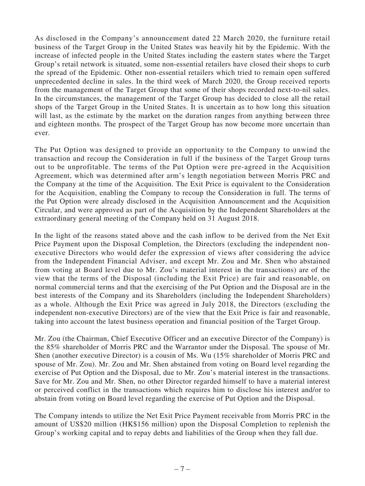As disclosed in the Company's announcement dated 22 March 2020, the furniture retail business of the Target Group in the United States was heavily hit by the Epidemic. With the increase of infected people in the United States including the eastern states where the Target Group's retail network is situated, some non-essential retailers have closed their shops to curb the spread of the Epidemic. Other non-essential retailers which tried to remain open suffered unprecedented decline in sales. In the third week of March 2020, the Group received reports from the management of the Target Group that some of their shops recorded next-to-nil sales. In the circumstances, the management of the Target Group has decided to close all the retail shops of the Target Group in the United States. It is uncertain as to how long this situation will last, as the estimate by the market on the duration ranges from anything between three and eighteen months. The prospect of the Target Group has now become more uncertain than ever.

The Put Option was designed to provide an opportunity to the Company to unwind the transaction and recoup the Consideration in full if the business of the Target Group turns out to be unprofitable. The terms of the Put Option were pre-agreed in the Acquisition Agreement, which was determined after arm's length negotiation between Morris PRC and the Company at the time of the Acquisition. The Exit Price is equivalent to the Consideration for the Acquisition, enabling the Company to recoup the Consideration in full. The terms of the Put Option were already disclosed in the Acquisition Announcement and the Acquisition Circular, and were approved as part of the Acquisition by the Independent Shareholders at the extraordinary general meeting of the Company held on 31 August 2018.

In the light of the reasons stated above and the cash inflow to be derived from the Net Exit Price Payment upon the Disposal Completion, the Directors (excluding the independent nonexecutive Directors who would defer the expression of views after considering the advice from the Independent Financial Adviser, and except Mr. Zou and Mr. Shen who abstained from voting at Board level due to Mr. Zou's material interest in the transactions) are of the view that the terms of the Disposal (including the Exit Price) are fair and reasonable, on normal commercial terms and that the exercising of the Put Option and the Disposal are in the best interests of the Company and its Shareholders (including the Independent Shareholders) as a whole. Although the Exit Price was agreed in July 2018, the Directors (excluding the independent non-executive Directors) are of the view that the Exit Price is fair and reasonable, taking into account the latest business operation and financial position of the Target Group.

Mr. Zou (the Chairman, Chief Executive Officer and an executive Director of the Company) is the 85% shareholder of Morris PRC and the Warrantor under the Disposal. The spouse of Mr. Shen (another executive Director) is a cousin of Ms. Wu (15% shareholder of Morris PRC and spouse of Mr. Zou). Mr. Zou and Mr. Shen abstained from voting on Board level regarding the exercise of Put Option and the Disposal, due to Mr. Zou's material interest in the transactions. Save for Mr. Zou and Mr. Shen, no other Director regarded himself to have a material interest or perceived conflict in the transactions which requires him to disclose his interest and/or to abstain from voting on Board level regarding the exercise of Put Option and the Disposal.

The Company intends to utilize the Net Exit Price Payment receivable from Morris PRC in the amount of US\$20 million (HK\$156 million) upon the Disposal Completion to replenish the Group's working capital and to repay debts and liabilities of the Group when they fall due.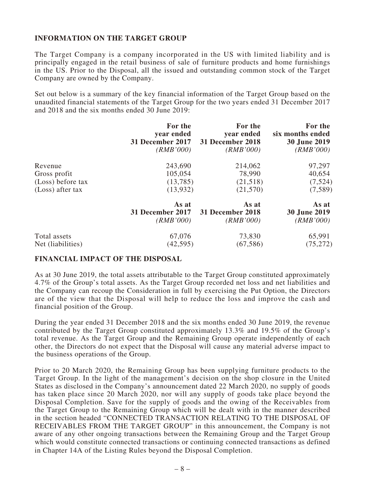## **INFORMATION ON THE TARGET GROUP**

The Target Company is a company incorporated in the US with limited liability and is principally engaged in the retail business of sale of furniture products and home furnishings in the US. Prior to the Disposal, all the issued and outstanding common stock of the Target Company are owned by the Company.

Set out below is a summary of the key financial information of the Target Group based on the unaudited financial statements of the Target Group for the two years ended 31 December 2017 and 2018 and the six months ended 30 June 2019:

|                   | For the          | For the          | For the             |
|-------------------|------------------|------------------|---------------------|
|                   | year ended       | year ended       | six months ended    |
|                   | 31 December 2017 | 31 December 2018 | <b>30 June 2019</b> |
|                   | (RMB'000)        | (RMB'000)        | (RMB'000)           |
| Revenue           | 243,690          | 214,062          | 97,297              |
| Gross profit      | 105,054          | 78,990           | 40,654              |
| (Loss) before tax | (13,785)         | (21,518)         | (7,524)             |
| (Loss) after tax  | (13,932)         | (21,570)         | (7,589)             |
|                   | As at            | As at            | As at               |
|                   | 31 December 2017 | 31 December 2018 | <b>30 June 2019</b> |
|                   | (RMB'000)        | (RMB'000)        | (RMB'000)           |
| Total assets      | 67,076           | 73,830           | 65,991              |
| Net (liabilities) | (42, 595)        | (67, 586)        | (75, 272)           |

#### **FINANCIAL IMPACT OF THE DISPOSAL**

As at 30 June 2019, the total assets attributable to the Target Group constituted approximately 4.7% of the Group's total assets. As the Target Group recorded net loss and net liabilities and the Company can recoup the Consideration in full by exercising the Put Option, the Directors are of the view that the Disposal will help to reduce the loss and improve the cash and financial position of the Group.

During the year ended 31 December 2018 and the six months ended 30 June 2019, the revenue contributed by the Target Group constituted approximately 13.3% and 19.5% of the Group's total revenue. As the Target Group and the Remaining Group operate independently of each other, the Directors do not expect that the Disposal will cause any material adverse impact to the business operations of the Group.

Prior to 20 March 2020, the Remaining Group has been supplying furniture products to the Target Group. In the light of the management's decision on the shop closure in the United States as disclosed in the Company's announcement dated 22 March 2020, no supply of goods has taken place since 20 March 2020, nor will any supply of goods take place beyond the Disposal Completion. Save for the supply of goods and the owing of the Receivables from the Target Group to the Remaining Group which will be dealt with in the manner described in the section headed "CONNECTED TRANSACTION RELATING TO THE DISPOSAL OF RECEIVABLES FROM THE TARGET GROUP" in this announcement, the Company is not aware of any other ongoing transactions between the Remaining Group and the Target Group which would constitute connected transactions or continuing connected transactions as defined in Chapter 14A of the Listing Rules beyond the Disposal Completion.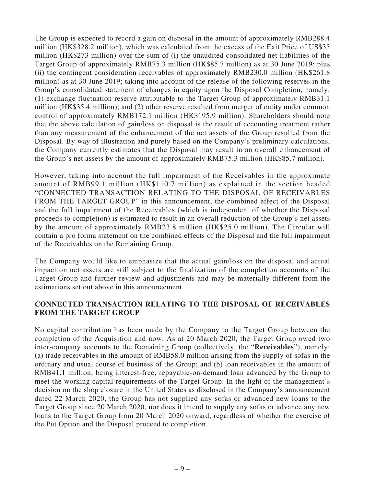The Group is expected to record a gain on disposal in the amount of approximately RMB288.4 million (HK\$328.2 million), which was calculated from the excess of the Exit Price of US\$35 million (HK\$273 million) over the sum of (i) the unaudited consolidated net liabilities of the Target Group of approximately RMB75.3 million (HK\$85.7 million) as at 30 June 2019; plus (ii) the contingent consideration receivables of approximately RMB230.0 million (HK\$261.8 million) as at 30 June 2019; taking into account of the release of the following reserves in the Group's consolidated statement of changes in equity upon the Disposal Completion, namely: (1) exchange fluctuation reserve attributable to the Target Group of approximately RMB31.1 million (HK\$35.4 million); and (2) other reserve resulted from merger of entity under common control of approximately RMB172.1 million (HK\$195.9 million). Shareholders should note that the above calculation of gain/loss on disposal is the result of accounting treatment rather than any measurement of the enhancement of the net assets of the Group resulted from the Disposal. By way of illustration and purely based on the Company's preliminary calculations, the Company currently estimates that the Disposal may result in an overall enhancement of the Group's net assets by the amount of approximately RMB75.3 million (HK\$85.7 million).

However, taking into account the full impairment of the Receivables in the approximate amount of RMB99.1 million (HK\$110.7 million) as explained in the section headed "CONNECTED TRANSACTION RELATING TO THE DISPOSAL OF RECEIVABLES FROM THE TARGET GROUP" in this announcement, the combined effect of the Disposal and the full impairment of the Receivables (which is independent of whether the Disposal proceeds to completion) is estimated to result in an overall reduction of the Group's net assets by the amount of approximately RMB23.8 million (HK\$25.0 million). The Circular will contain a pro forma statement on the combined effects of the Disposal and the full impairment of the Receivables on the Remaining Group.

The Company would like to emphasize that the actual gain/loss on the disposal and actual impact on net assets are still subject to the finalization of the completion accounts of the Target Group and further review and adjustments and may be materially different from the estimations set out above in this announcement.

## **CONNECTED TRANSACTION RELATING TO THE DISPOSAL OF RECEIVABLES FROM THE TARGET GROUP**

No capital contribution has been made by the Company to the Target Group between the completion of the Acquisition and now. As at 20 March 2020, the Target Group owed two inter-company accounts to the Remaining Group (collectively, the "**Receivables**"), namely: (a) trade receivables in the amount of RMB58.0 million arising from the supply of sofas in the ordinary and usual course of business of the Group; and (b) loan receivables in the amount of RMB41.1 million, being interest-free, repayable-on-demand loan advanced by the Group to meet the working capital requirements of the Target Group. In the light of the management's decision on the shop closure in the United States as disclosed in the Company's announcement dated 22 March 2020, the Group has not supplied any sofas or advanced new loans to the Target Group since 20 March 2020, nor does it intend to supply any sofas or advance any new loans to the Target Group from 20 March 2020 onward, regardless of whether the exercise of the Put Option and the Disposal proceed to completion.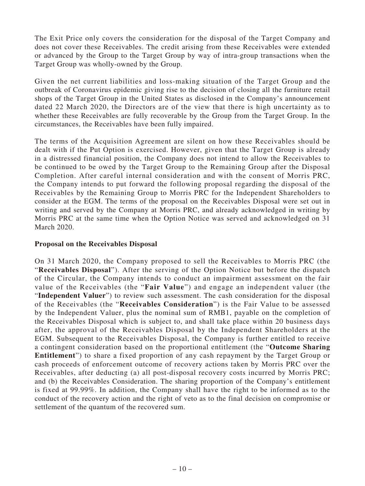The Exit Price only covers the consideration for the disposal of the Target Company and does not cover these Receivables. The credit arising from these Receivables were extended or advanced by the Group to the Target Group by way of intra-group transactions when the Target Group was wholly-owned by the Group.

Given the net current liabilities and loss-making situation of the Target Group and the outbreak of Coronavirus epidemic giving rise to the decision of closing all the furniture retail shops of the Target Group in the United States as disclosed in the Company's announcement dated 22 March 2020, the Directors are of the view that there is high uncertainty as to whether these Receivables are fully recoverable by the Group from the Target Group. In the circumstances, the Receivables have been fully impaired.

The terms of the Acquisition Agreement are silent on how these Receivables should be dealt with if the Put Option is exercised. However, given that the Target Group is already in a distressed financial position, the Company does not intend to allow the Receivables to be continued to be owed by the Target Group to the Remaining Group after the Disposal Completion. After careful internal consideration and with the consent of Morris PRC, the Company intends to put forward the following proposal regarding the disposal of the Receivables by the Remaining Group to Morris PRC for the Independent Shareholders to consider at the EGM. The terms of the proposal on the Receivables Disposal were set out in writing and served by the Company at Morris PRC, and already acknowledged in writing by Morris PRC at the same time when the Option Notice was served and acknowledged on 31 March 2020.

#### **Proposal on the Receivables Disposal**

On 31 March 2020, the Company proposed to sell the Receivables to Morris PRC (the "**Receivables Disposal**"). After the serving of the Option Notice but before the dispatch of the Circular, the Company intends to conduct an impairment assessment on the fair value of the Receivables (the "**Fair Value**") and engage an independent valuer (the "**Independent Valuer**") to review such assessment. The cash consideration for the disposal of the Receivables (the "**Receivables Consideration**") is the Fair Value to be assessed by the Independent Valuer, plus the nominal sum of RMB1, payable on the completion of the Receivables Disposal which is subject to, and shall take place within 20 business days after, the approval of the Receivables Disposal by the Independent Shareholders at the EGM. Subsequent to the Receivables Disposal, the Company is further entitled to receive a contingent consideration based on the proportional entitlement (the "**Outcome Sharing Entitlement**") to share a fixed proportion of any cash repayment by the Target Group or cash proceeds of enforcement outcome of recovery actions taken by Morris PRC over the Receivables, after deducting (a) all post-disposal recovery costs incurred by Morris PRC; and (b) the Receivables Consideration. The sharing proportion of the Company's entitlement is fixed at 99.99%. In addition, the Company shall have the right to be informed as to the conduct of the recovery action and the right of veto as to the final decision on compromise or settlement of the quantum of the recovered sum.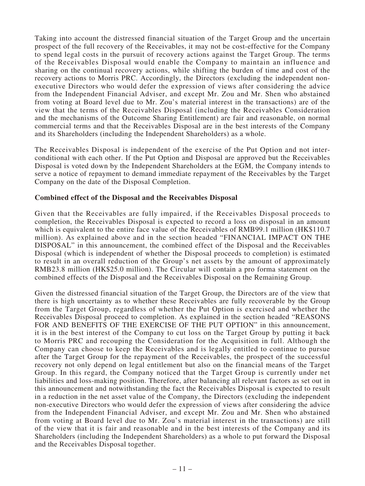Taking into account the distressed financial situation of the Target Group and the uncertain prospect of the full recovery of the Receivables, it may not be cost-effective for the Company to spend legal costs in the pursuit of recovery actions against the Target Group. The terms of the Receivables Disposal would enable the Company to maintain an influence and sharing on the continual recovery actions, while shifting the burden of time and cost of the recovery actions to Morris PRC. Accordingly, the Directors (excluding the independent nonexecutive Directors who would defer the expression of views after considering the advice from the Independent Financial Adviser, and except Mr. Zou and Mr. Shen who abstained from voting at Board level due to Mr. Zou's material interest in the transactions) are of the view that the terms of the Receivables Disposal (including the Receivables Consideration and the mechanisms of the Outcome Sharing Entitlement) are fair and reasonable, on normal commercial terms and that the Receivables Disposal are in the best interests of the Company and its Shareholders (including the Independent Shareholders) as a whole.

The Receivables Disposal is independent of the exercise of the Put Option and not interconditional with each other. If the Put Option and Disposal are approved but the Receivables Disposal is voted down by the Independent Shareholders at the EGM, the Company intends to serve a notice of repayment to demand immediate repayment of the Receivables by the Target Company on the date of the Disposal Completion.

#### **Combined effect of the Disposal and the Receivables Disposal**

Given that the Receivables are fully impaired, if the Receivables Disposal proceeds to completion, the Receivables Disposal is expected to record a loss on disposal in an amount which is equivalent to the entire face value of the Receivables of RMB99.1 million (HK\$110.7 million). As explained above and in the section headed "FINANCIAL IMPACT ON THE DISPOSAL" in this announcement, the combined effect of the Disposal and the Receivables Disposal (which is independent of whether the Disposal proceeds to completion) is estimated to result in an overall reduction of the Group's net assets by the amount of approximately RMB23.8 million (HK\$25.0 million). The Circular will contain a pro forma statement on the combined effects of the Disposal and the Receivables Disposal on the Remaining Group.

Given the distressed financial situation of the Target Group, the Directors are of the view that there is high uncertainty as to whether these Receivables are fully recoverable by the Group from the Target Group, regardless of whether the Put Option is exercised and whether the Receivables Disposal proceed to completion. As explained in the section headed "REASONS FOR AND BENEFITS OF THE EXERCISE OF THE PUT OPTION" in this announcement, it is in the best interest of the Company to cut loss on the Target Group by putting it back to Morris PRC and recouping the Consideration for the Acquisition in full. Although the Company can choose to keep the Receivables and is legally entitled to continue to pursue after the Target Group for the repayment of the Receivables, the prospect of the successful recovery not only depend on legal entitlement but also on the financial means of the Target Group. In this regard, the Company noticed that the Target Group is currently under net liabilities and loss-making position. Therefore, after balancing all relevant factors as set out in this announcement and notwithstanding the fact the Receivables Disposal is expected to result in a reduction in the net asset value of the Company, the Directors (excluding the independent non-executive Directors who would defer the expression of views after considering the advice from the Independent Financial Adviser, and except Mr. Zou and Mr. Shen who abstained from voting at Board level due to Mr. Zou's material interest in the transactions) are still of the view that it is fair and reasonable and in the best interests of the Company and its Shareholders (including the Independent Shareholders) as a whole to put forward the Disposal and the Receivables Disposal together.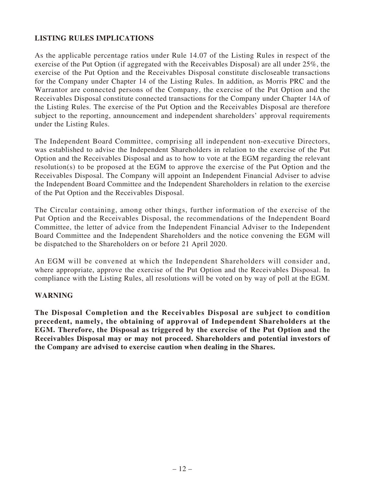# **LISTING RULES IMPLICATIONS**

As the applicable percentage ratios under Rule 14.07 of the Listing Rules in respect of the exercise of the Put Option (if aggregated with the Receivables Disposal) are all under 25%, the exercise of the Put Option and the Receivables Disposal constitute discloseable transactions for the Company under Chapter 14 of the Listing Rules. In addition, as Morris PRC and the Warrantor are connected persons of the Company, the exercise of the Put Option and the Receivables Disposal constitute connected transactions for the Company under Chapter 14A of the Listing Rules. The exercise of the Put Option and the Receivables Disposal are therefore subject to the reporting, announcement and independent shareholders' approval requirements under the Listing Rules.

The Independent Board Committee, comprising all independent non-executive Directors, was established to advise the Independent Shareholders in relation to the exercise of the Put Option and the Receivables Disposal and as to how to vote at the EGM regarding the relevant resolution(s) to be proposed at the EGM to approve the exercise of the Put Option and the Receivables Disposal. The Company will appoint an Independent Financial Adviser to advise the Independent Board Committee and the Independent Shareholders in relation to the exercise of the Put Option and the Receivables Disposal.

The Circular containing, among other things, further information of the exercise of the Put Option and the Receivables Disposal, the recommendations of the Independent Board Committee, the letter of advice from the Independent Financial Adviser to the Independent Board Committee and the Independent Shareholders and the notice convening the EGM will be dispatched to the Shareholders on or before 21 April 2020.

An EGM will be convened at which the Independent Shareholders will consider and, where appropriate, approve the exercise of the Put Option and the Receivables Disposal. In compliance with the Listing Rules, all resolutions will be voted on by way of poll at the EGM.

#### **WARNING**

**The Disposal Completion and the Receivables Disposal are subject to condition precedent, namely, the obtaining of approval of Independent Shareholders at the EGM. Therefore, the Disposal as triggered by the exercise of the Put Option and the Receivables Disposal may or may not proceed. Shareholders and potential investors of the Company are advised to exercise caution when dealing in the Shares.**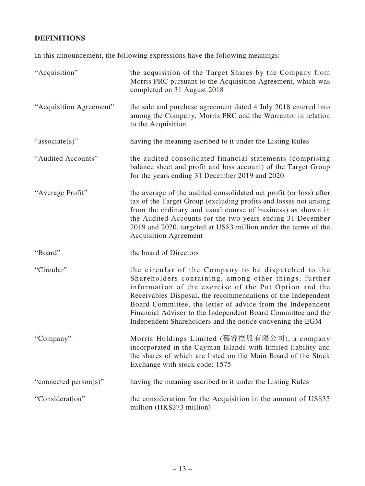# **DEFINITIONS**

In this announcement, the following expressions have the following meanings:

| "Acquisition"           | the acquisition of the Target Shares by the Company from<br>Morris PRC pursuant to the Acquisition Agreement, which was<br>completed on 31 August 2018                                                                                                                                                                                                                                                                          |
|-------------------------|---------------------------------------------------------------------------------------------------------------------------------------------------------------------------------------------------------------------------------------------------------------------------------------------------------------------------------------------------------------------------------------------------------------------------------|
| "Acquisition Agreement" | the sale and purchase agreement dated 4 July 2018 entered into<br>among the Company, Morris PRC and the Warrantor in relation<br>to the Acquisition                                                                                                                                                                                                                                                                             |
| "associate(s)"          | having the meaning ascribed to it under the Listing Rules                                                                                                                                                                                                                                                                                                                                                                       |
| "Audited Accounts"      | the audited consolidated financial statements (comprising<br>balance sheet and profit and loss account) of the Target Group<br>for the years ending 31 December 2019 and 2020                                                                                                                                                                                                                                                   |
| "Average Profit"        | the average of the audited consolidated net profit (or loss) after<br>tax of the Target Group (excluding profits and losses not arising<br>from the ordinary and usual course of business) as shown in<br>the Audited Accounts for the two years ending 31 December<br>2019 and 2020, targeted at US\$3 million under the terms of the<br><b>Acquisition Agreement</b>                                                          |
| "Board"                 | the board of Directors                                                                                                                                                                                                                                                                                                                                                                                                          |
| "Circular"              | the circular of the Company to be dispatched to the<br>Shareholders containing, among other things, further<br>information of the exercise of the Put Option and the<br>Receivables Disposal, the recommendations of the Independent<br>Board Committee, the letter of advice from the Independent<br>Financial Adviser to the Independent Board Committee and the<br>Independent Shareholders and the notice convening the EGM |
| "Company"               | Morris Holdings Limited (慕容控股有限公司), a company<br>incorporated in the Cayman Islands with limited liability and<br>the shares of which are listed on the Main Board of the Stock<br>Exchange with stock code: 1575                                                                                                                                                                                                               |
| "connected person(s)"   | having the meaning ascribed to it under the Listing Rules                                                                                                                                                                                                                                                                                                                                                                       |
| "Consideration"         | the consideration for the Acquisition in the amount of US\$35<br>million (HK\$273 million)                                                                                                                                                                                                                                                                                                                                      |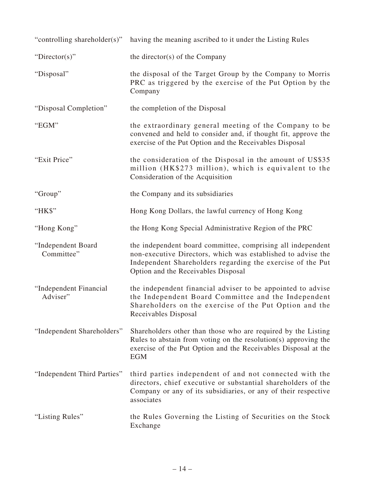| "controlling shareholder(s)"       | having the meaning ascribed to it under the Listing Rules                                                                                                                                                                        |
|------------------------------------|----------------------------------------------------------------------------------------------------------------------------------------------------------------------------------------------------------------------------------|
| "Director(s)"                      | the director(s) of the Company                                                                                                                                                                                                   |
| "Disposal"                         | the disposal of the Target Group by the Company to Morris<br>PRC as triggered by the exercise of the Put Option by the<br>Company                                                                                                |
| "Disposal Completion"              | the completion of the Disposal                                                                                                                                                                                                   |
| "EGM"                              | the extraordinary general meeting of the Company to be<br>convened and held to consider and, if thought fit, approve the<br>exercise of the Put Option and the Receivables Disposal                                              |
| "Exit Price"                       | the consideration of the Disposal in the amount of US\$35<br>million (HK\$273 million), which is equivalent to the<br>Consideration of the Acquisition                                                                           |
| "Group"                            | the Company and its subsidiaries                                                                                                                                                                                                 |
| "HK\$"                             | Hong Kong Dollars, the lawful currency of Hong Kong                                                                                                                                                                              |
| "Hong Kong"                        | the Hong Kong Special Administrative Region of the PRC                                                                                                                                                                           |
| "Independent Board<br>Committee"   | the independent board committee, comprising all independent<br>non-executive Directors, which was established to advise the<br>Independent Shareholders regarding the exercise of the Put<br>Option and the Receivables Disposal |
| "Independent Financial<br>Adviser" | the independent financial adviser to be appointed to advise<br>the Independent Board Committee and the Independent<br>Shareholders on the exercise of the Put Option and the<br>Receivables Disposal                             |
| "Independent Shareholders"         | Shareholders other than those who are required by the Listing<br>Rules to abstain from voting on the resolution(s) approving the<br>exercise of the Put Option and the Receivables Disposal at the<br><b>EGM</b>                 |
| "Independent Third Parties"        | third parties independent of and not connected with the<br>directors, chief executive or substantial shareholders of the<br>Company or any of its subsidiaries, or any of their respective<br>associates                         |
| "Listing Rules"                    | the Rules Governing the Listing of Securities on the Stock<br>Exchange                                                                                                                                                           |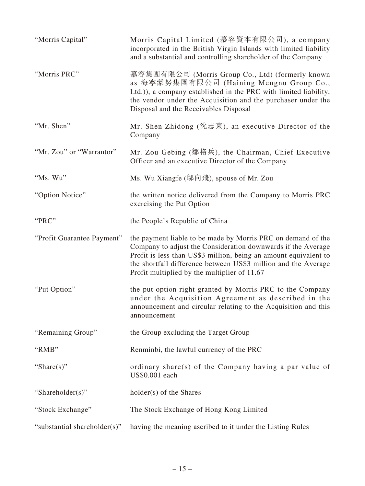| "Morris Capital"             | Morris Capital Limited (慕容資本有限公司), a company<br>incorporated in the British Virgin Islands with limited liability<br>and a substantial and controlling shareholder of the Company                                                                                                                                  |
|------------------------------|--------------------------------------------------------------------------------------------------------------------------------------------------------------------------------------------------------------------------------------------------------------------------------------------------------------------|
| "Morris PRC"                 | 慕容集團有限公司 (Morris Group Co., Ltd) (formerly known<br>as 海寧蒙努集團有限公司 (Haining Mengnu Group Co.,<br>Ltd.)), a company established in the PRC with limited liability,<br>the vendor under the Acquisition and the purchaser under the<br>Disposal and the Receivables Disposal                                          |
| "Mr. Shen"                   | Mr. Shen Zhidong (沈志東), an executive Director of the<br>Company                                                                                                                                                                                                                                                    |
| "Mr. Zou" or "Warrantor"     | Mr. Zou Gebing (鄒格兵), the Chairman, Chief Executive<br>Officer and an executive Director of the Company                                                                                                                                                                                                            |
| "Ms. Wu"                     | Ms. Wu Xiangfe (鄔向飛), spouse of Mr. Zou                                                                                                                                                                                                                                                                            |
| "Option Notice"              | the written notice delivered from the Company to Morris PRC<br>exercising the Put Option                                                                                                                                                                                                                           |
| "PRC"                        | the People's Republic of China                                                                                                                                                                                                                                                                                     |
| "Profit Guarantee Payment"   | the payment liable to be made by Morris PRC on demand of the<br>Company to adjust the Consideration downwards if the Average<br>Profit is less than US\$3 million, being an amount equivalent to<br>the shortfall difference between US\$3 million and the Average<br>Profit multiplied by the multiplier of 11.67 |
| "Put Option"                 | the put option right granted by Morris PRC to the Company<br>under the Acquisition Agreement as described in the<br>announcement and circular relating to the Acquisition and this<br>announcement                                                                                                                 |
| "Remaining Group"            | the Group excluding the Target Group                                                                                                                                                                                                                                                                               |
| "RMB"                        | Renminbi, the lawful currency of the PRC                                                                                                                                                                                                                                                                           |
| "Share $(s)$ "               | ordinary share(s) of the Company having a par value of<br>US\$0.001 each                                                                                                                                                                                                                                           |
| "Shareholder(s)"             | holder(s) of the Shares                                                                                                                                                                                                                                                                                            |
| "Stock Exchange"             | The Stock Exchange of Hong Kong Limited                                                                                                                                                                                                                                                                            |
| "substantial shareholder(s)" | having the meaning ascribed to it under the Listing Rules                                                                                                                                                                                                                                                          |